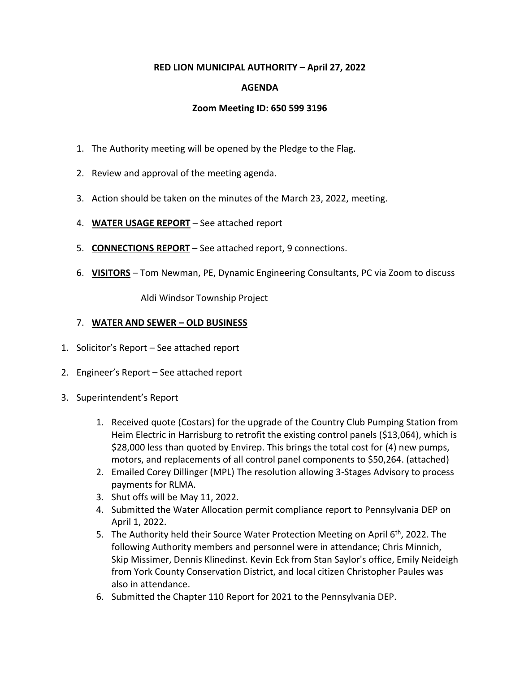### **RED LION MUNICIPAL AUTHORITY – April 27, 2022**

# **AGENDA**

### **Zoom Meeting ID: 650 599 3196**

- 1. The Authority meeting will be opened by the Pledge to the Flag.
- 2. Review and approval of the meeting agenda.
- 3. Action should be taken on the minutes of the March 23, 2022, meeting.
- 4. **WATER USAGE REPORT** See attached report
- 5. **CONNECTIONS REPORT** See attached report, 9 connections.
- 6. **VISITORS** Tom Newman, PE, Dynamic Engineering Consultants, PC via Zoom to discuss

Aldi Windsor Township Project

#### 7. **WATER AND SEWER – OLD BUSINESS**

- 1. Solicitor's Report See attached report
- 2. Engineer's Report See attached report
- 3. Superintendent's Report
	- 1. Received quote (Costars) for the upgrade of the Country Club Pumping Station from Heim Electric in Harrisburg to retrofit the existing control panels (\$13,064), which is \$28,000 less than quoted by Envirep. This brings the total cost for (4) new pumps, motors, and replacements of all control panel components to \$50,264. (attached)
	- 2. Emailed Corey Dillinger (MPL) The resolution allowing 3-Stages Advisory to process payments for RLMA.
	- 3. Shut offs will be May 11, 2022.
	- 4. Submitted the Water Allocation permit compliance report to Pennsylvania DEP on April 1, 2022.
	- 5. The Authority held their Source Water Protection Meeting on April 6<sup>th</sup>, 2022. The following Authority members and personnel were in attendance; Chris Minnich, Skip Missimer, Dennis Klinedinst. Kevin Eck from Stan Saylor's office, Emily Neideigh from York County Conservation District, and local citizen Christopher Paules was also in attendance.
	- 6. Submitted the Chapter 110 Report for 2021 to the Pennsylvania DEP.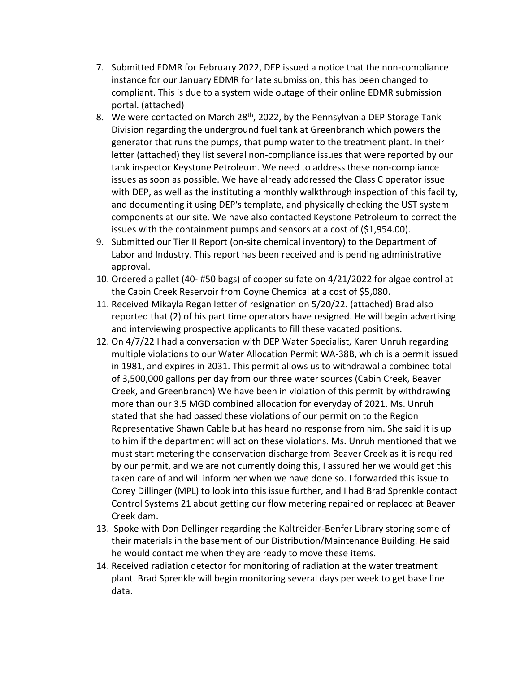- 7. Submitted EDMR for February 2022, DEP issued a notice that the non-compliance instance for our January EDMR for late submission, this has been changed to compliant. This is due to a system wide outage of their online EDMR submission portal. (attached)
- 8. We were contacted on March 28<sup>th</sup>, 2022, by the Pennsylvania DEP Storage Tank Division regarding the underground fuel tank at Greenbranch which powers the generator that runs the pumps, that pump water to the treatment plant. In their letter (attached) they list several non-compliance issues that were reported by our tank inspector Keystone Petroleum. We need to address these non-compliance issues as soon as possible. We have already addressed the Class C operator issue with DEP, as well as the instituting a monthly walkthrough inspection of this facility, and documenting it using DEP's template, and physically checking the UST system components at our site. We have also contacted Keystone Petroleum to correct the issues with the containment pumps and sensors at a cost of (\$1,954.00).
- 9. Submitted our Tier II Report (on-site chemical inventory) to the Department of Labor and Industry. This report has been received and is pending administrative approval.
- 10. Ordered a pallet (40- #50 bags) of copper sulfate on 4/21/2022 for algae control at the Cabin Creek Reservoir from Coyne Chemical at a cost of \$5,080.
- 11. Received Mikayla Regan letter of resignation on 5/20/22. (attached) Brad also reported that (2) of his part time operators have resigned. He will begin advertising and interviewing prospective applicants to fill these vacated positions.
- 12. On 4/7/22 I had a conversation with DEP Water Specialist, Karen Unruh regarding multiple violations to our Water Allocation Permit WA-38B, which is a permit issued in 1981, and expires in 2031. This permit allows us to withdrawal a combined total of 3,500,000 gallons per day from our three water sources (Cabin Creek, Beaver Creek, and Greenbranch) We have been in violation of this permit by withdrawing more than our 3.5 MGD combined allocation for everyday of 2021. Ms. Unruh stated that she had passed these violations of our permit on to the Region Representative Shawn Cable but has heard no response from him. She said it is up to him if the department will act on these violations. Ms. Unruh mentioned that we must start metering the conservation discharge from Beaver Creek as it is required by our permit, and we are not currently doing this, I assured her we would get this taken care of and will inform her when we have done so. I forwarded this issue to Corey Dillinger (MPL) to look into this issue further, and I had Brad Sprenkle contact Control Systems 21 about getting our flow metering repaired or replaced at Beaver Creek dam.
- 13. Spoke with Don Dellinger regarding the Kaltreider-Benfer Library storing some of their materials in the basement of our Distribution/Maintenance Building. He said he would contact me when they are ready to move these items.
- 14. Received radiation detector for monitoring of radiation at the water treatment plant. Brad Sprenkle will begin monitoring several days per week to get base line data.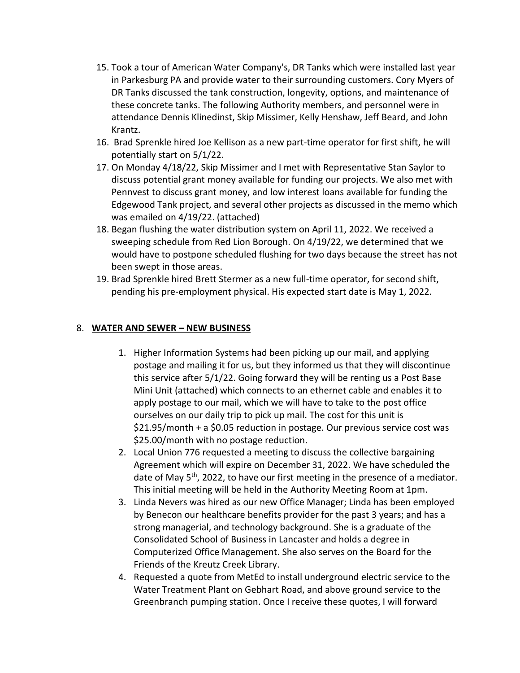- 15. Took a tour of American Water Company's, DR Tanks which were installed last year in Parkesburg PA and provide water to their surrounding customers. Cory Myers of DR Tanks discussed the tank construction, longevity, options, and maintenance of these concrete tanks. The following Authority members, and personnel were in attendance Dennis Klinedinst, Skip Missimer, Kelly Henshaw, Jeff Beard, and John Krantz.
- 16. Brad Sprenkle hired Joe Kellison as a new part-time operator for first shift, he will potentially start on 5/1/22.
- 17. On Monday 4/18/22, Skip Missimer and I met with Representative Stan Saylor to discuss potential grant money available for funding our projects. We also met with Pennvest to discuss grant money, and low interest loans available for funding the Edgewood Tank project, and several other projects as discussed in the memo which was emailed on 4/19/22. (attached)
- 18. Began flushing the water distribution system on April 11, 2022. We received a sweeping schedule from Red Lion Borough. On 4/19/22, we determined that we would have to postpone scheduled flushing for two days because the street has not been swept in those areas.
- 19. Brad Sprenkle hired Brett Stermer as a new full-time operator, for second shift, pending his pre-employment physical. His expected start date is May 1, 2022.

# 8. **WATER AND SEWER – NEW BUSINESS**

- 1. Higher Information Systems had been picking up our mail, and applying postage and mailing it for us, but they informed us that they will discontinue this service after 5/1/22. Going forward they will be renting us a Post Base Mini Unit (attached) which connects to an ethernet cable and enables it to apply postage to our mail, which we will have to take to the post office ourselves on our daily trip to pick up mail. The cost for this unit is \$21.95/month + a \$0.05 reduction in postage. Our previous service cost was \$25.00/month with no postage reduction.
- 2. Local Union 776 requested a meeting to discuss the collective bargaining Agreement which will expire on December 31, 2022. We have scheduled the date of May 5<sup>th</sup>, 2022, to have our first meeting in the presence of a mediator. This initial meeting will be held in the Authority Meeting Room at 1pm.
- 3. Linda Nevers was hired as our new Office Manager; Linda has been employed by Benecon our healthcare benefits provider for the past 3 years; and has a strong managerial, and technology background. She is a graduate of the Consolidated School of Business in Lancaster and holds a degree in Computerized Office Management. She also serves on the Board for the Friends of the Kreutz Creek Library.
- 4. Requested a quote from MetEd to install underground electric service to the Water Treatment Plant on Gebhart Road, and above ground service to the Greenbranch pumping station. Once I receive these quotes, I will forward